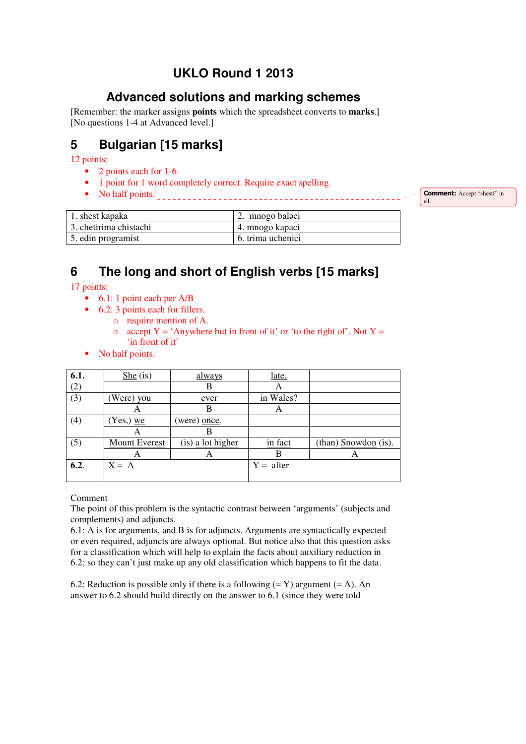# **UKLO Round 1 2013**

### **Advanced solutions and marking schemes**

[Remember: the marker assigns **points** which the spreadsheet converts to **marks**.] [No questions 1-4 at Advanced level.]

## **5 Bulgarian [15 marks]**

12 points:

- 2 points each for 1-6.
- 1 point for 1 word completely correct. Require exact spelling.
- No half points.

**Comment:** Accept "shesti" in #1.

| 1. shest kapaka         | 2. mnogo balaci   |
|-------------------------|-------------------|
| 13. chetirima chistachi | 4. mnogo kapaci   |
| 5. edin programist      | 6. trima uchenici |

### **6 The long and short of English verbs [15 marks]**

17 points:

- 6.1: 1 point each per A/B
- 6.2: 3 points each for fillers.
	- o require mention of A.
	- o accept  $Y = 'Anywhere but in front of it' or 'to the right of'. Not  $Y =$$ 'in front of it'
- No half points.

| 6.1. | $She$ (is)    | always            | late.       |                      |
|------|---------------|-------------------|-------------|----------------------|
| (2)  |               | В                 | A           |                      |
| (3)  | (Were) you    | ever              | in Wales?   |                      |
|      | A             | В                 | A           |                      |
| (4)  | $(Yes)$ we    | (were) once.      |             |                      |
|      | A             | В                 |             |                      |
| (5)  | Mount Everest | (is) a lot higher | in fact     | (than) Snowdon (is). |
|      | A             | A                 |             | A                    |
| 6.2. | $X = A$       |                   | $Y =$ after |                      |
|      |               |                   |             |                      |

Comment

The point of this problem is the syntactic contrast between 'arguments' (subjects and complements) and adjuncts.

6.1: A is for arguments, and B is for adjuncts. Arguments are syntactically expected or even required, adjuncts are always optional. But notice also that this question asks for a classification which will help to explain the facts about auxiliary reduction in 6.2; so they can't just make up any old classification which happens to fit the data.

6.2: Reduction is possible only if there is a following  $(= Y)$  argument  $(= A)$ . An answer to 6.2 should build directly on the answer to 6.1 (since they were told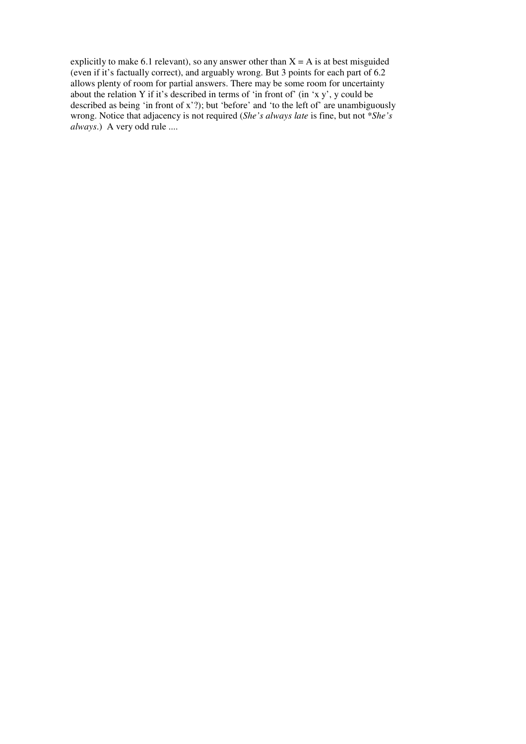explicitly to make 6.1 relevant), so any answer other than  $X = A$  is at best misguided (even if it's factually correct), and arguably wrong. But 3 points for each part of 6.2 allows plenty of room for partial answers. There may be some room for uncertainty about the relation Y if it's described in terms of 'in front of' (in 'x y', y could be described as being 'in front of x'?); but 'before' and 'to the left of' are unambiguously wrong. Notice that adjacency is not required (*She's always late* is fine, but not \**She's always*.) A very odd rule ....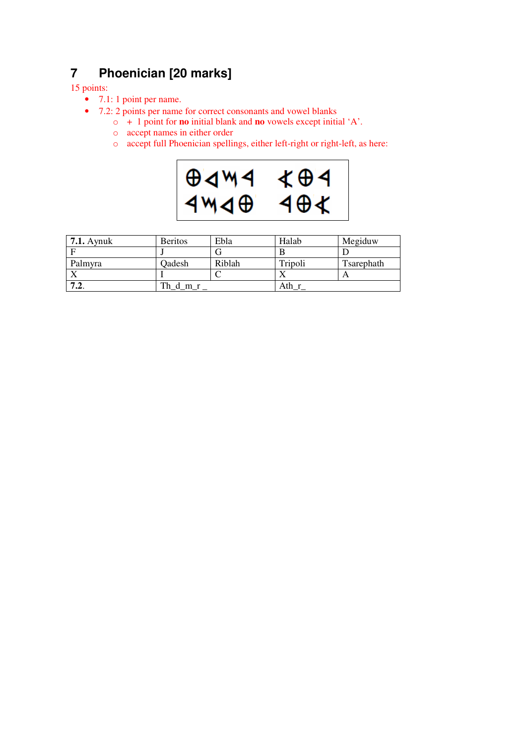# **7 Phoenician [20 marks]**

#### 15 points:

- 7.1: 1 point per name.
- 7.2: 2 points per name for correct consonants and vowel blanks
	- o + 1 point for **no** initial blank and **no** vowels except initial 'A'.
	- o accept names in either order
	- o accept full Phoenician spellings, either left-right or right-left, as here:



| $7.1.$ Aynuk | <b>Beritos</b> | Ebla   | Halab   | Megiduw    |
|--------------|----------------|--------|---------|------------|
|              |                |        | B       |            |
| Palmyra      | Qadesh         | Riblah | Tripoli | Tsarephath |
|              |                |        |         |            |
| . د          |                |        | Ath     |            |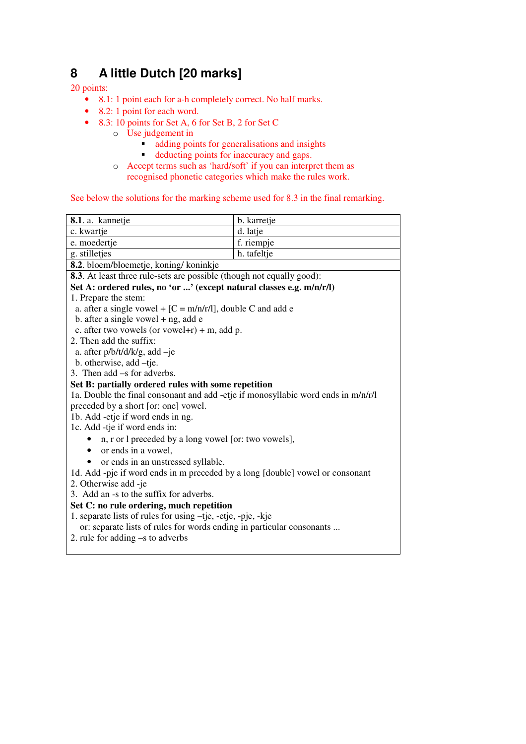## **8 A little Dutch [20 marks]**

#### 20 points:

- 8.1: 1 point each for a-h completely correct. No half marks.
- 8.2: 1 point for each word.
- 8.3: 10 points for Set A, 6 for Set B, 2 for Set C
	- o Use judgement in
		- **adding points for generalisations and insights**
		- deducting points for inaccuracy and gaps.
	- o Accept terms such as 'hard/soft' if you can interpret them as recognised phonetic categories which make the rules work.

#### See below the solutions for the marking scheme used for 8.3 in the final remarking.

| 8.1. a. kannetje                                                                  | b. karretje |
|-----------------------------------------------------------------------------------|-------------|
| c. kwartje                                                                        | d. latje    |
| e. moedertje                                                                      | f. riempje  |
| g. stilletjes                                                                     | h. tafeltje |
| 8.2. bloem/bloemetje, koning/koninkje                                             |             |
| <b>8.3</b> . At least three rule-sets are possible (though not equally good):     |             |
| Set A: ordered rules, no 'or ' (except natural classes e.g. m/n/r/l)              |             |
| 1. Prepare the stem:                                                              |             |
| a. after a single vowel + $[C = m/n/r/l]$ , double C and add e                    |             |
| b. after a single vowel $+$ ng, add e                                             |             |
| c. after two vowels (or vowel+ $r$ ) + m, add p.                                  |             |
| 2. Then add the suffix:                                                           |             |
| a. after $p/b/t/d/k/g$ , add $-je$                                                |             |
| b. otherwise, add -tje.                                                           |             |
| 3. Then $add -s$ for adverbs.                                                     |             |
| Set B: partially ordered rules with some repetition                               |             |
| 1a. Double the final consonant and add -etje if monosyllabic word ends in m/n/r/l |             |
| preceded by a short [or: one] vowel.                                              |             |
| 1b. Add -etje if word ends in ng.                                                 |             |
| 1c. Add -tje if word ends in:                                                     |             |
| n, r or l preceded by a long vowel [or: two vowels],                              |             |
| or ends in a vowel,                                                               |             |
| or ends in an unstressed syllable.                                                |             |
| 1d. Add -pje if word ends in m preceded by a long [double] vowel or consonant     |             |
| 2. Otherwise add -je                                                              |             |
| 3. Add an -s to the suffix for adverbs.                                           |             |
| Set C: no rule ordering, much repetition                                          |             |
| 1. separate lists of rules for using -tje, -etje, -pje, -kje                      |             |
| or: separate lists of rules for words ending in particular consonants             |             |
| 2. rule for adding $-s$ to adverbs                                                |             |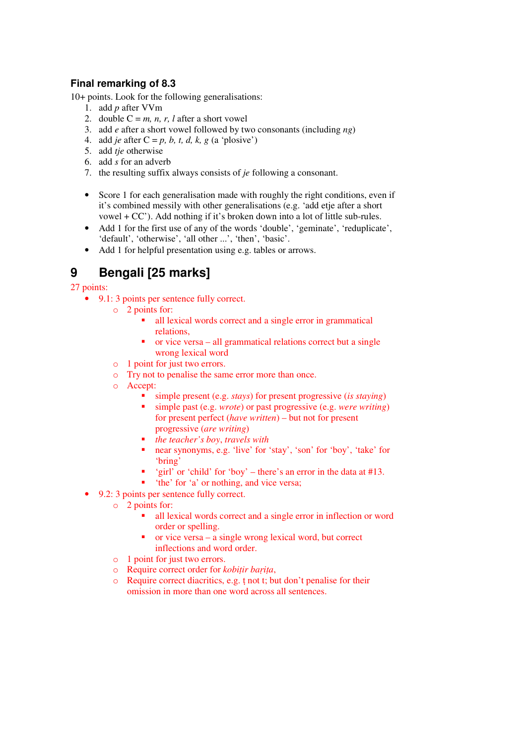### **Final remarking of 8.3**

10+ points. Look for the following generalisations:

- 1. add *p* after VVm
- 2. double  $C = m$ , *n*, *r*, *l* after a short vowel
- 3. add *e* after a short vowel followed by two consonants (including *ng*)
- 4. add *je* after  $C = p$ , *b*, *t*, *d*, *k*, *g* (a 'plosive')
- 5. add *tje* otherwise
- 6. add *s* for an adverb
- 7. the resulting suffix always consists of *je* following a consonant.
- Score 1 for each generalisation made with roughly the right conditions, even if it's combined messily with other generalisations (e.g. 'add etje after a short vowel + CC'). Add nothing if it's broken down into a lot of little sub-rules.
- Add 1 for the first use of any of the words 'double', 'geminate', 'reduplicate', 'default', 'otherwise', 'all other ...', 'then', 'basic'.
- Add 1 for helpful presentation using e.g. tables or arrows.

# **9 Bengali [25 marks]**

#### 27 points:

- 9.1: 3 points per sentence fully correct.
	- o 2 points for:
		- all lexical words correct and a single error in grammatical relations,
		- or vice versa all grammatical relations correct but a single wrong lexical word
		- o 1 point for just two errors.
		- o Try not to penalise the same error more than once.
		- o Accept:
			- simple present (e.g. *stays*) for present progressive (*is staying*)
			- simple past (e.g. *wrote*) or past progressive (e.g. *were writing*) for present perfect (*have written*) – but not for present progressive (*are writing*)
			- *the teacher's boy*, *travels with*
			- near synonyms, e.g. 'live' for 'stay', 'son' for 'boy', 'take' for 'bring'
			- " 'girl' or 'child' for 'boy' there's an error in the data at  $#13$ .
			- 'the' for 'a' or nothing, and vice versa;
- 9.2: 3 points per sentence fully correct.
	- o 2 points for:
		- all lexical words correct and a single error in inflection or word order or spelling.
		- $\bullet$  or vice versa a single wrong lexical word, but correct inflections and word order.
	- o 1 point for just two errors.
	- o Require correct order for *kobiṭir baṛiṭa*,
	- o Require correct diacritics, e.g. ṭ not t; but don't penalise for their omission in more than one word across all sentences.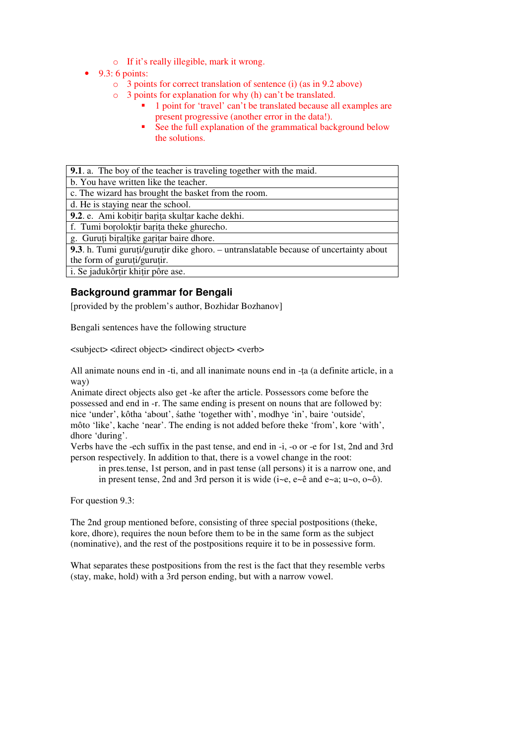- o If it's really illegible, mark it wrong.
- $\bullet$  9.3: 6 points:
	- o 3 points for correct translation of sentence (i) (as in 9.2 above)
	- o 3 points for explanation for why (h) can't be translated.
		- <sup>1</sup> point for 'travel' can't be translated because all examples are present progressive (another error in the data!).
		- See the full explanation of the grammatical background below the solutions.

| <b>9.1.</b> a. The boy of the teacher is traveling together with the maid.            |
|---------------------------------------------------------------------------------------|
| b. You have written like the teacher.                                                 |
| c. The wizard has brought the basket from the room.                                   |
| d. He is staying near the school.                                                     |
| 9.2. e. Ami kobitir barita skultar kache dekhi.                                       |
| f. Tumi boroloktir barita theke ghurecho.                                             |
| g. Guruți biralțike garițar baire dhore.                                              |
| 9.3. h. Tumi guruți/guruțir dike ghoro. – untranslatable because of uncertainty about |
| the form of guruti/gurutir.                                                           |
| i. Se jadukôrțir khițir pôre ase.                                                     |
|                                                                                       |

### **Background grammar for Bengali**

[provided by the problem's author, Bozhidar Bozhanov]

Bengali sentences have the following structure

<subject> <direct object> <indirect object> <verb>

All animate nouns end in -ti, and all inanimate nouns end in -ṭa (a definite article, in a way)

Animate direct objects also get -ke after the article. Possessors come before the possessed and end in -r. The same ending is present on nouns that are followed by: nice 'under', kôtha 'about', śathe 'together with', modhye 'in', baire 'outside', môto 'like', kache 'near'. The ending is not added before theke 'from', kore 'with', dhore 'during'.

Verbs have the -ech suffix in the past tense, and end in -i, -o or -e for 1st, 2nd and 3rd person respectively. In addition to that, there is a vowel change in the root:

in pres.tense, 1st person, and in past tense (all persons) it is a narrow one, and in present tense, 2nd and 3rd person it is wide  $(i-e, e-\hat{e}$  and  $e-a$ ;  $u\sim 0$ ,  $o-\hat{0}$ ).

For question 9.3:

The 2nd group mentioned before, consisting of three special postpositions (theke, kore, dhore), requires the noun before them to be in the same form as the subject (nominative), and the rest of the postpositions require it to be in possessive form.

What separates these postpositions from the rest is the fact that they resemble verbs (stay, make, hold) with a 3rd person ending, but with a narrow vowel.